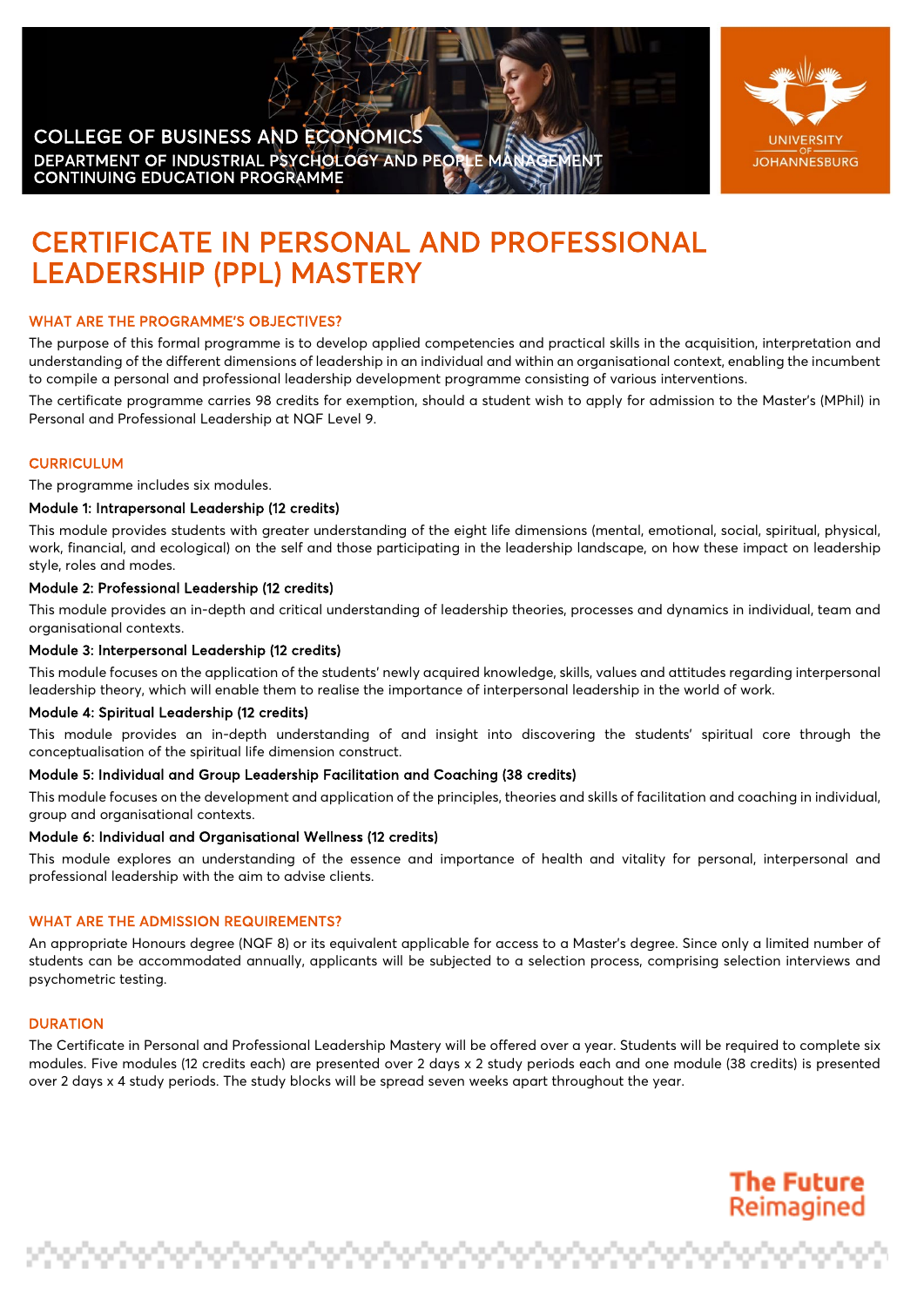## COLLEGE OF BUSINESS AND ECONOMICS DEPARTMENT OF INDUSTRIAL PSYCHOLOGY AND PEOPLE MA CONTINUING EDUCATION PROGRAMME



**The Future** Reimagined

ina tanàna a

# CERTIFICATE IN PERSONAL AND PROFESSIONAL LEADERSHIP (PPL) MASTERY

# WHAT ARE THE PROGRAMME'S OBJECTIVES?

The purpose of this formal programme is to develop applied competencies and practical skills in the acquisition, interpretation and understanding of the different dimensions of leadership in an individual and within an organisational context, enabling the incumbent to compile a personal and professional leadership development programme consisting of various interventions.

The certificate programme carries 98 credits for exemption, should a student wish to apply for admission to the Master's (MPhil) in Personal and Professional Leadership at NQF Level 9.

## **CURRICULUM**

The programme includes six modules.

#### Module 1: Intrapersonal Leadership (12 credits)

This module provides students with greater understanding of the eight life dimensions (mental, emotional, social, spiritual, physical, work, financial, and ecological) on the self and those participating in the leadership landscape, on how these impact on leadership style, roles and modes.

### Module 2: Professional Leadership (12 credits)

This module provides an in-depth and critical understanding of leadership theories, processes and dynamics in individual, team and organisational contexts.

#### Module 3: Interpersonal Leadership (12 credits)

This module focuses on the application of the students' newly acquired knowledge, skills, values and attitudes regarding interpersonal leadership theory, which will enable them to realise the importance of interpersonal leadership in the world of work.

#### Module 4: Spiritual Leadership (12 credits)

This module provides an in-depth understanding of and insight into discovering the students' spiritual core through the conceptualisation of the spiritual life dimension construct.

#### Module 5: Individual and Group Leadership Facilitation and Coaching (38 credits)

This module focuses on the development and application of the principles, theories and skills of facilitation and coaching in individual, group and organisational contexts.

#### Module 6: Individual and Organisational Wellness (12 credits)

This module explores an understanding of the essence and importance of health and vitality for personal, interpersonal and professional leadership with the aim to advise clients.

## WHAT ARE THE ADMISSION REQUIREMENTS?

An appropriate Honours degree (NQF 8) or its equivalent applicable for access to a Master's degree. Since only a limited number of students can be accommodated annually, applicants will be subjected to a selection process, comprising selection interviews and psychometric testing.

#### **DURATION**

The Certificate in Personal and Professional Leadership Mastery will be offered over a year. Students will be required to complete six modules. Five modules (12 credits each) are presented over 2 days x 2 study periods each and one module (38 credits) is presented over 2 days x 4 study periods. The study blocks will be spread seven weeks apart throughout the year.